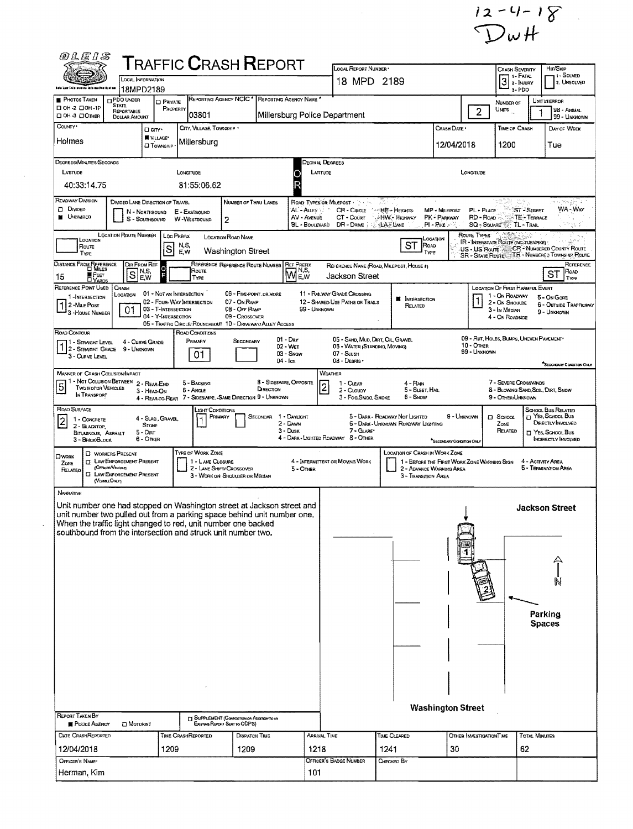$12 - 4 - 18$ 

| இருந்த                                                                                                                                                                                                                                                                                                                                                                  |                                                                                                                                       |                                                              |                                       | <b>T</b> RAFFIC <b>C</b> RASH <b>R</b> EPORT                                                                   |                                                          |                                                    | LOCAL REPORT NUMBER *                                                                           |                                                       |                                                                         |                             |                                                                                  |                                                  | Hm/Skip                                                                                   |
|-------------------------------------------------------------------------------------------------------------------------------------------------------------------------------------------------------------------------------------------------------------------------------------------------------------------------------------------------------------------------|---------------------------------------------------------------------------------------------------------------------------------------|--------------------------------------------------------------|---------------------------------------|----------------------------------------------------------------------------------------------------------------|----------------------------------------------------------|----------------------------------------------------|-------------------------------------------------------------------------------------------------|-------------------------------------------------------|-------------------------------------------------------------------------|-----------------------------|----------------------------------------------------------------------------------|--------------------------------------------------|-------------------------------------------------------------------------------------------|
| e es                                                                                                                                                                                                                                                                                                                                                                    | LOCAL INFORMATION                                                                                                                     |                                                              |                                       |                                                                                                                |                                                          |                                                    | 18 MPD 2189                                                                                     |                                                       |                                                                         |                             | CRASH SEVERITY<br>1 - Fatal<br>3<br>2 - INJURY                                   |                                                  | - I Solved<br>2. UNSOLVED                                                                 |
| Bals Law Inforcement Informative Austru<br><b>PHOTOS TAKEN</b>                                                                                                                                                                                                                                                                                                          | 18MPD2189<br><b>D</b> PDO UNDER                                                                                                       |                                                              |                                       | REPORTING AGENCY NCIC * REPORTING AGENCY NAME *                                                                |                                                          |                                                    |                                                                                                 |                                                       |                                                                         |                             | 3-PDO                                                                            |                                                  |                                                                                           |
| П ОН-2 ПОН-1Р<br>□ ОН-3 □ ОТНЕВ                                                                                                                                                                                                                                                                                                                                         | <b>STATE</b><br>REPORTABLE<br><b>DOLLAR AMOUNT</b>                                                                                    | <b>D</b> PRIVATE                                             | PROPERTY<br>03801                     |                                                                                                                |                                                          |                                                    | Millersburg Police Department                                                                   |                                                       |                                                                         | $\overline{2}$              | NUMBER OF<br>Unns                                                                |                                                  | UNITINERROR<br>98 - ANIMAL<br>99 - UNKNOWN                                                |
| COUNTY <sup>*</sup>                                                                                                                                                                                                                                                                                                                                                     |                                                                                                                                       | Darr.                                                        | CITY, VILLAGE, TOWNSHIP .             |                                                                                                                |                                                          |                                                    |                                                                                                 | <b>TIME OF CRASH</b>                                  |                                                                         | DAY OF WEEK                 |                                                                                  |                                                  |                                                                                           |
| Holmes                                                                                                                                                                                                                                                                                                                                                                  |                                                                                                                                       | <b>W</b> VILLAGE*<br><b>CJ TOWNSHIP</b>                      | Millersburg                           |                                                                                                                |                                                          |                                                    |                                                                                                 |                                                       | 12/04/2018                                                              |                             | 1200                                                                             |                                                  | Tue                                                                                       |
| DEGREES/MINUTES/SECONDS<br>LATITUDE                                                                                                                                                                                                                                                                                                                                     |                                                                                                                                       |                                                              | LONGITUDE                             |                                                                                                                |                                                          | LATITUDE                                           | Decimal Degrees                                                                                 |                                                       |                                                                         | LONGITUDE                   |                                                                                  |                                                  |                                                                                           |
| 40:33:14.75                                                                                                                                                                                                                                                                                                                                                             |                                                                                                                                       |                                                              | 81:55:06.62                           |                                                                                                                |                                                          |                                                    |                                                                                                 |                                                       |                                                                         |                             |                                                                                  |                                                  |                                                                                           |
| ROADWAY DIVISION<br>$D$ Divided<br>UNDIVIDED                                                                                                                                                                                                                                                                                                                            | DIVIDED LANE DIRECTION OF TRAVEL                                                                                                      | N - NORTHBOUND<br>S - SOUTHBOUND                             | E - EASTBOUND<br>W-WESTBOUND          | NUMBER OF THRU LANES<br>$\overline{2}$                                                                         |                                                          | AL - ALLEY<br>AV - AVENUE<br><b>BL - BOULEVARD</b> | ROAD TYPES OR MILEPOST<br>CR - Cincle 114 HEI- Heights:<br>CT - Courr<br>DR-DRME                | HW - Highway<br>⊹LA Lane                              | MP - MILEPOST<br>PK - PARKWAY<br>$PI - P$ ike                           | PL - PLACE<br>RD-Road       | SQ - SOUARE <sup>2022</sup> TL - TRAIL                                           | <b>ST-STREET</b><br>TE - TERRACE                 | in liste<br>WA-War<br>k <sup>an</sup> gus                                                 |
| LOCATION<br>Route<br>TYPE                                                                                                                                                                                                                                                                                                                                               | <b>LOCATION ROUTE NUMBER</b>                                                                                                          | S                                                            | LOC PREFIX<br>N,S,<br>E.W             | LOCATION ROAD NAME<br>Washington Street                                                                        |                                                          |                                                    |                                                                                                 | ST<br>ROAD                                            | Location<br>TYPE                                                        | ROUTE TYPES                 | IR - INTERSTATE ROUTE (INC. TURNPIKE)                                            |                                                  | US - US Route CR - NUMBERED COUNTY ROUTE<br>SR - STATE ROUTE TR - NUMBERED TOWNSHIP ROUTE |
| DISTANCE FROM REFERENCE<br>∎ Feer                                                                                                                                                                                                                                                                                                                                       | $\overline{s}$                                                                                                                        | DIR FROM REF<br>N,S,                                         | Route                                 | REFERENCE REFERENCE ROUTE NUMBER                                                                               |                                                          | <b>REF PREFIX</b><br>Me.w                          | Jackson Street                                                                                  | REFERENCE NAME (ROAD, MILEPOST, HOUSE #)              |                                                                         |                             |                                                                                  |                                                  | REFERENCE<br>ROAD<br>ST                                                                   |
| 15<br><b>DYARDS</b><br>REFERENCE POINT USED                                                                                                                                                                                                                                                                                                                             | CRASH                                                                                                                                 | E,W                                                          | TYPE<br>01 - NOT AN INTERSECTION      | 06 - FIVE-POINT, OR MORE                                                                                       |                                                          |                                                    | 11 - RAILWAY GRADE CROSSING                                                                     |                                                       |                                                                         |                             | LOCATION OF FIRST HARMFUL EVENT                                                  |                                                  | TYPE                                                                                      |
| 1-INTERSECTION<br>2 - MILE Post<br><sup>3</sup> - House Number                                                                                                                                                                                                                                                                                                          | LOCATION<br>01                                                                                                                        | 03 - T-INTERSECTION<br>04 - Y-INTERSECTION                   | 02 - Four-Way Intersection            | 07 - On RAMP<br>08 - OFF RAMP<br>09 - Crossover<br>05 - TRAFFIC CIRCLE/ ROUNDABOUT 10 - DRIVEWAY/ ALLEY ACCESS |                                                          | 99 - UNKNOWN                                       | 12 - SHARED-USE PATHS OR TRAILS                                                                 | <b>W</b> INTERSECTION<br>RELATED                      |                                                                         |                             | 1 - On ROADWAY<br>2 - On Shoulde<br>3 - In MEDIAN<br>4 - On ROADSIDE             |                                                  | 5 - On Gone<br>6 - OUTSIDE TRAFFICWAY<br>9 - UNKNOWN                                      |
| ROAD CONTOUR<br>1 - STRAIGHT LEVEL<br>2 - STRAIGHT GRADE<br>3 - CURVE LEVEL                                                                                                                                                                                                                                                                                             | 4 - CURVE GRADE<br>9 - UNKNOWN                                                                                                        |                                                              | ROAD CONDITIONS<br>PRIMARY<br>01      | SECONDARY                                                                                                      | $01 - \text{Day}$<br>02 - WET<br>03 - Snow<br>$04 -$ IcE |                                                    | 05 - SAND, MUD, DIRT, OIL, GRAVEL<br>06 - WATER (STANDING, MOVING)<br>07 - SLUSH<br>08 - Dearis |                                                       |                                                                         | $10 -$ Omer<br>99 - UNKNOWN | 09 - RUT, HOLES, BUMPS, UNEVEN PAVEMENT*                                         |                                                  |                                                                                           |
| <b>MANNER OF CRASH COLLISION/IMPACT</b><br>1 - Not Colusion BETWEEN 2 - REAR-END<br>$\overline{5}$<br>Two MDTOR VEHICLES<br>IN TRANSPORT                                                                                                                                                                                                                                |                                                                                                                                       | 3 - HEAD-ON<br>4 - Rear-to-Rear                              | 5 - BACKING<br>6 - Angle              | 7 - SIDESWIPE, - SAME DIRECTION 9 - UNKNOWN                                                                    | 8 - SIDESWIPE, OPPOSITE<br>DIRECTION                     |                                                    | WEATHER<br>1 - CLEAR<br>$\mathbf{2}$<br>2 - CLOUDY<br>3 - Fog, SMOG, SMOKE                      | 4 - RAN<br>5 - Sleet, Hall<br>6 - Snow                |                                                                         |                             | 7 - SEVERE CROSSWINDS<br>8 - BLOWING SAND, SOIL, DIRT, SNOW<br>9 - OTHER/UNKNOWN |                                                  | SECONDARY CONDITION CHEV                                                                  |
| ROAD SURFACE                                                                                                                                                                                                                                                                                                                                                            |                                                                                                                                       |                                                              |                                       | Light Conditions<br>PRIMARY<br>SECONDAR                                                                        | 1 - DAYLIGHT                                             |                                                    |                                                                                                 | 5 - DARK - ROADWAY NOT LIGHTED                        |                                                                         | 9 - Unknown                 | $D$ School                                                                       |                                                  | <b>SCHOOL BUS RELATED</b><br><sup>2</sup> YES, SCHOOL Bus                                 |
| 1 - CONCRETE<br>$\overline{2}$<br>2 - BLACKTOP<br>BITUMINOUS, ASPHALT<br>3 - BRICK/BLOCK                                                                                                                                                                                                                                                                                |                                                                                                                                       | 4 - Slag, Gravel.<br><b>STONE</b><br>$5 -$ Dirt<br>6 - Other |                                       |                                                                                                                | 2 - DAWN<br>$3 -$ Dusk                                   |                                                    | 7 - GLARE*<br>4 - DARK - LIGHTED ROADWAY 8 - OTHER                                              | 6 - DARK - UNKNOWN ROADWAY LIGHTING                   | "SECONDARY CONDITION ONLY                                               |                             | ZONE<br>RELATED                                                                  |                                                  | <b>DIRECTLY INVOLVED</b><br>T YES, SCHOOL BUS<br><b>INDIRECTLY INVOLVED</b>               |
| <b>OWORK</b><br>ZONE<br>RELATED                                                                                                                                                                                                                                                                                                                                         | <b>C</b> WORKERS PRESENT<br><b>D</b> LAW ENFORCEMENT PRESENT<br>(OFFICEN/VENICLE)<br><b>CI LAW EMFORCEMENT PRESENT</b><br>(VERGEONLY) |                                                              | TYPE OF WORK ZONE<br>1 - LANE CLOSURE | 2 - LANE SHIFTI CROSSOVER<br>3 - WORK ON SHOULDER OR MEDIAN                                                    |                                                          | 5 - OTHER                                          | 4 - INTERNITTENT OR MOVING WORK                                                                 | LOCATION OF CRASH IN WORK ZONE<br>3 - TRANSITION AREA | 1 - BEFORE THE FIRST WORK ZONE WARNING SIGN<br>2 - ADVANCE WARNING AREA |                             |                                                                                  | 4 - ACTIVITY AREA                                | 5 - TERMINATION AREA                                                                      |
| NARRATIVE<br>Unit number one had stopped on Washington street at Jackson street and<br>unit number two pulled out from a parking space behind unit number one.<br>When the traffic light changed to red, unit number one backed<br>southbound from the intersection and struck unit number two.<br><b>REPORT TAKEN BY</b><br>POLICE AGENCY<br><b>DATE CRASHREPORTED</b> | <b>I</b> MOTORIST                                                                                                                     |                                                              | <b>TIME CRASHREPORTED</b>             | <b>El SUPPLEMENT (CORRECTION OR ADDITION YOUN</b><br>Existiva Reposit Sent to ODPS)<br>DISPATCH TIME           |                                                          |                                                    | ARRIVAL TIME                                                                                    | Time Cleared                                          | <b>Washington Street</b>                                                | OTHER INVESTIGATION TIME    |                                                                                  | Parking<br><b>Spaces</b><br><b>TOTAL MINUTES</b> | <b>Jackson Street</b>                                                                     |
| 12/04/2018                                                                                                                                                                                                                                                                                                                                                              |                                                                                                                                       | 1209                                                         |                                       | 1209                                                                                                           |                                                          | 1218                                               |                                                                                                 | 1241                                                  | 30                                                                      |                             |                                                                                  | 62                                               |                                                                                           |
| OFFICER'S NAME*                                                                                                                                                                                                                                                                                                                                                         |                                                                                                                                       |                                                              |                                       |                                                                                                                |                                                          |                                                    | <b>OFFICER'S BADGE NUMBER</b>                                                                   | CHECKED BY                                            |                                                                         |                             |                                                                                  |                                                  |                                                                                           |
| Herman, Kim                                                                                                                                                                                                                                                                                                                                                             |                                                                                                                                       |                                                              |                                       |                                                                                                                |                                                          | 101                                                |                                                                                                 |                                                       |                                                                         |                             |                                                                                  |                                                  |                                                                                           |

 $\frac{1}{\sqrt{2}}$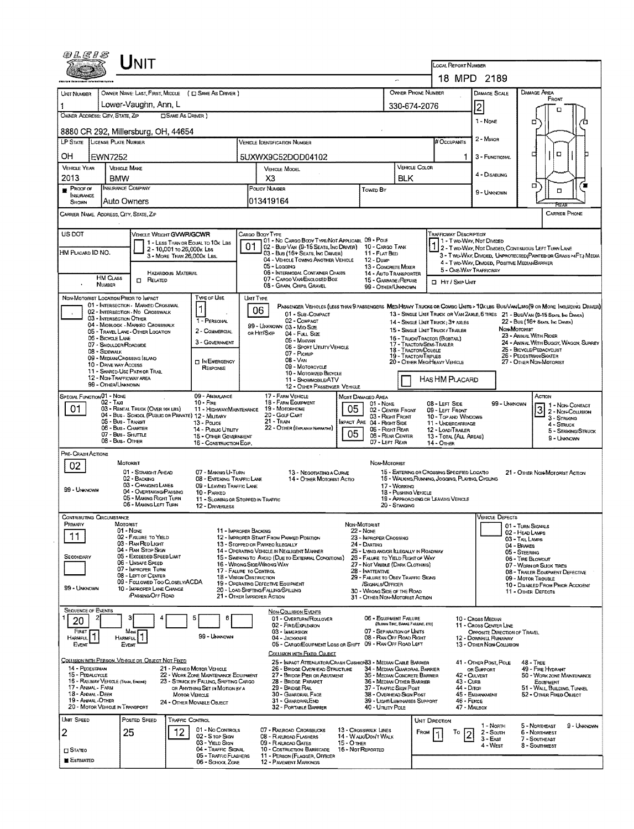| OLEIS                                  | UNIT                                                                                    |                                                                          |                                                                                                            |                                                   |                                                                       | LOCAL REPORT NUMBER                                                                                                              |                                                                 |                                                                                                                               |  |  |  |  |
|----------------------------------------|-----------------------------------------------------------------------------------------|--------------------------------------------------------------------------|------------------------------------------------------------------------------------------------------------|---------------------------------------------------|-----------------------------------------------------------------------|----------------------------------------------------------------------------------------------------------------------------------|-----------------------------------------------------------------|-------------------------------------------------------------------------------------------------------------------------------|--|--|--|--|
|                                        |                                                                                         |                                                                          |                                                                                                            |                                                   | $\overline{\phantom{a}}$                                              |                                                                                                                                  | 18 MPD 2189                                                     |                                                                                                                               |  |  |  |  |
| UNIT NUMBER                            |                                                                                         | OWNER NAME: LAST, FIRST, MIDDLE ( E) SAME AS DRIVER )                    |                                                                                                            |                                                   |                                                                       | OWNER PHONE NUMBER                                                                                                               | DAMAGE SCALE                                                    | DAMAGE AREA                                                                                                                   |  |  |  |  |
| 1                                      | Lower-Vaughn, Ann, L                                                                    |                                                                          |                                                                                                            |                                                   |                                                                       | 330-674-2076                                                                                                                     | $\overline{c}$                                                  | FRONT<br>m                                                                                                                    |  |  |  |  |
|                                        | OWNER ADDRESS: CITY, STATE, ZIP                                                         | <b>CISAME AS DRIVER</b> )                                                |                                                                                                            |                                                   |                                                                       |                                                                                                                                  | 1 - None                                                        | □<br>n                                                                                                                        |  |  |  |  |
|                                        | 8880 CR 292, Millersburg, OH, 44654                                                     |                                                                          |                                                                                                            |                                                   |                                                                       |                                                                                                                                  |                                                                 |                                                                                                                               |  |  |  |  |
| LP STATE                               | LICENSE PLATE NUMBER                                                                    |                                                                          | VEHICLE IDENTIFICATION NUMBER                                                                              |                                                   | # Occupants                                                           | 2 - Minor                                                                                                                        |                                                                 |                                                                                                                               |  |  |  |  |
| OН                                     | <b>EWN7252</b>                                                                          |                                                                          | 5UXWX9C52DOD04102                                                                                          |                                                   |                                                                       | 1                                                                                                                                | 3 - FUNCTIONAL                                                  | O<br>п                                                                                                                        |  |  |  |  |
| <b>VEHICLE YEAR</b><br>2013            | <b>VEHICLE MAKE</b><br><b>BMW</b>                                                       |                                                                          | VEHICLE MODEL<br>X3                                                                                        |                                                   | <b>BLK</b>                                                            | <b>VEHICLE COLOR</b>                                                                                                             | 4 - Disabung                                                    |                                                                                                                               |  |  |  |  |
| $P_{ROOF}$ or                          | INSURANCE COMPANY                                                                       |                                                                          | POLICY NUMBER                                                                                              | <b>TOWED BY</b>                                   |                                                                       |                                                                                                                                  |                                                                 | σ<br>α                                                                                                                        |  |  |  |  |
| <b>INSURANCE</b><br>SHOWN              | Auto Owners                                                                             |                                                                          | 013419164                                                                                                  |                                                   |                                                                       |                                                                                                                                  | 9 - UNKNOWN                                                     | निस्ता                                                                                                                        |  |  |  |  |
|                                        | CARRIER NAME, ADDRESS, CITY, STATE, ZIP                                                 |                                                                          |                                                                                                            |                                                   |                                                                       |                                                                                                                                  |                                                                 | <b>CARRIER PHONE</b>                                                                                                          |  |  |  |  |
| US DOT                                 |                                                                                         | VEHICLE WEIGHT GWWR/GCWR                                                 | Cargo Booy Type                                                                                            |                                                   |                                                                       | <b>TRAFFICWAY DESCRIPTION</b>                                                                                                    |                                                                 |                                                                                                                               |  |  |  |  |
|                                        |                                                                                         | 1 - LESS THAN OR EQUAL TO 10K LBS<br>2 - 10,001 to 26,000k LBs           | 101 - No Cargo Body Type/Not Applicabl. 09 - Pole<br>02 - Bus/Van (9-15 Seats, Inc Driver) 10 - Cargo Tank |                                                   |                                                                       |                                                                                                                                  | 1 - T WO-WAY, NOT DIVIDED                                       | 1 2 - T WO-WAY, NOT DIMDED, CONTINUOUS LEFT TURN LANE                                                                         |  |  |  |  |
| HM PLACARD ID NO.                      |                                                                                         | 3 - MORE THAN 26,000K LBS.                                               | 03 - Bus (16+ Seats, Ing Driver)<br>04 - VEHICLE TOWING ANOTHER VEHICLE                                    | 12 - Dump                                         | 11 - FLAT BED                                                         |                                                                                                                                  | 4 - T WO-WAY, DIMDED, POSITIVE MEDIAN BARRIER                   | 3 - TWO-WAY, DIVIDED, UNPROTECTED (PAINTED OR GRASS >4FT.) MEDIA                                                              |  |  |  |  |
|                                        | HM CLASS                                                                                | <b>HAZARDOUS MATERIAL</b>                                                | 05 - Logging<br>06 - INTERMODAL CONTAINER CHASIS                                                           |                                                   | 13 - CONCRETE MIXER<br>14 - AUTO TRANSPORTER                          |                                                                                                                                  | 5 - ONE-WAY TRAFFICWAY                                          |                                                                                                                               |  |  |  |  |
|                                        | <b>n</b> RELATED<br><b>NUMBER</b>                                                       |                                                                          | 07 - CARGO VAN ENGLOSED BOX<br>08 - GRAIN, CHIPS, GRAVEL                                                   |                                                   | 15 - GARBAGE / REFUSE<br>99 - OTHER/UNKNOWN                           |                                                                                                                                  | CI HIT / SKIP UNIT                                              |                                                                                                                               |  |  |  |  |
|                                        | NON-MOTORIST LOCATION PRIOR TO IMPACT<br>01 - INTERSECTION - MARKED CROSSWAL            | TYPE OF USE                                                              | UNT TYPE                                                                                                   |                                                   |                                                                       |                                                                                                                                  |                                                                 | PASSENGER VEHICLES (LESS THAN 9 PASSENGERS MEDIHEAVY TRUCKS OR COMBO UNITS > 10K LBS BUSIVAN/LIMO(9 OR MORE INCLUDING DRIVER) |  |  |  |  |
|                                        | 02 - INTERSECTION - NO CROSSWALK<br>03 - INTERSECTION OTHER                             | 1<br>1 - PERSONAL                                                        | 06<br>01 - Sub-COMPACT<br>02 - COMPACT                                                                     |                                                   |                                                                       |                                                                                                                                  |                                                                 | 13 - SINGLE UNIT TRUCK OR VAN 2AXLE, 6 TIRES 21 - BUS/VAN (9-15 SEATS, INC DRIVER)                                            |  |  |  |  |
|                                        | 04 - MIOBLOCK - MARKEO CROSSWALK<br>05 - TRAVEL LANE OTHER LOCATION                     | 2 - COMMERCIAL                                                           | 99 - UNKNOWN 03 - MID SIZE<br>or Hit/Skip<br>04 - Futt Stze                                                |                                                   |                                                                       | 14 - SINGLE UNIT TRUCK: 3+ AXLES<br>15 - SINGLE UNIT TRUCK / TRAILER                                                             |                                                                 | 22 - Bus (16+ Seats, Inc Driver)<br>NON-MOTORIST                                                                              |  |  |  |  |
|                                        | 06 - BICYCLE LANE<br>07 - SHOULDER/ROADSIDE                                             | 3 - GOVERNMENT                                                           | 05 - MINIVAN<br>06 - Sport Utility Vehicle                                                                 |                                                   |                                                                       | 16 - TRUCK/TRACTOR (BOBTAIL)<br>17 - TRACTOR/SEMI-TRAILER                                                                        | 23 - ANIMAL WITH RIOER<br>24 - ANIMAL WITH BUGGY, WAGON, SURREY |                                                                                                                               |  |  |  |  |
|                                        | 08 - Sidewalk<br>09 - MEDIAN/CROSSING ISLAND                                            | <b>IN EMERGENCY</b>                                                      | 07 - PICKUP<br><b>08 - VAN</b>                                                                             |                                                   |                                                                       | 18 - Tractor/Double<br>19 - TRACTOR/TRIPLES                                                                                      |                                                                 | 25 - BICYCLE/PEDACYCLIST<br>26 - PEDESTRIAN/SKATER                                                                            |  |  |  |  |
|                                        | 10 - DRIVE WAY ACCESS<br>11 - SHARED-USE PATH OR TRAIL                                  | RESPONSE                                                                 | 09 - MOTORCYCLE<br>10 - MOTORIZED BICYCLE                                                                  |                                                   |                                                                       | 20 - OTHER MEOPHEAVY VEHICLE                                                                                                     |                                                                 | 27 - OTHER NON-MOTORIST                                                                                                       |  |  |  |  |
|                                        | 12 - NON-TRAFFICWAY AREA<br>99 - OTHER/UNKNOWN                                          |                                                                          | 11 - SNOWMOBILE/ATV<br>12 - OTHER PASSENGER VEHICLE                                                        |                                                   |                                                                       | HAS HM PLACARD                                                                                                                   |                                                                 |                                                                                                                               |  |  |  |  |
| <b>SPECIAL FUNCTION 01 - NONE</b>      | 02 - TAXI                                                                               | 09 - AMBULANCE<br>$10 -$ FtRE                                            | 17 - FARM VEHICLE<br>18 - FARM EQUIPMENT                                                                   | MOST DAMAGED AREA                                 |                                                                       |                                                                                                                                  |                                                                 | Астюм                                                                                                                         |  |  |  |  |
| 01                                     | 03 - RENTAL TRUCK (OVER 10K LBS)<br>04 - Bus - SCHOOL (PUBLIC OR PRIVATE) 12 - MILITARY | 11 - HIGHWAY/MAINTENANCE                                                 | 19 - Мотокноме<br>20 - Golf Cart                                                                           | 05                                                | $01 - None$<br>02 - CENTER FRONT                                      | 08 - LEFT SIDE<br>09 - LEFT FRONT                                                                                                | 99 - Unknown                                                    | 1 1 - Non Contact<br>3<br>2 - Non-Collision                                                                                   |  |  |  |  |
|                                        | 05 - Bus - Transit<br>06 - Bus - Charter                                                | 13 - Pouce<br>14 - Pusuc Unury                                           | $21 -$ Train<br>22 - OTHER (EXPLAIN IN NARRATIVE)                                                          | IMPACT ARE 04 - RIGHT SIDE                        | 03 - Right Front<br>05 - RIGHT REAR                                   | 10 - TOP AND WINDOWS<br>11 - UNDERCARRIAGE                                                                                       |                                                                 | 3 - STRIKING<br>$4 -$ Struck                                                                                                  |  |  |  |  |
|                                        | 07 - Bus - SHUTTLE<br>08 - Bus - Other                                                  | 15 - OTHER GOVERNMENT<br>16 - CONSTRUCTION EQIP.                         |                                                                                                            | 05                                                | 06 - REAR CENTER<br>07 - LEFT REAR                                    | 12 - LOAD/TRAILER<br>13 - TOTAL (ALL AREAS)<br>14 - OTHER                                                                        |                                                                 | 5 - STRIKING/STRUCK<br>9 - Unknown                                                                                            |  |  |  |  |
| Pre- Crash Actions                     |                                                                                         |                                                                          |                                                                                                            |                                                   |                                                                       |                                                                                                                                  |                                                                 |                                                                                                                               |  |  |  |  |
| 02                                     | MOTORIST                                                                                |                                                                          |                                                                                                            |                                                   | NON-MOTORIST                                                          |                                                                                                                                  |                                                                 |                                                                                                                               |  |  |  |  |
|                                        | 01 - STRAIGHT AHEAD<br>02 - Backing                                                     | 07 - MAKING U-TURN<br><b>08 - ENTERING TRAFFIC LANE</b>                  | 13 - Negotiating a Curve<br>14 - OTHER MOTORIST ACTIO                                                      |                                                   |                                                                       | 15 - ENTERING OR CROSSING SPECIFIED LOCATIO<br>21 - OTHER NON-MOTORIST ACTION<br>15 - WALKING RUNNING, JOGGING, PLAYING, CYCLING |                                                                 |                                                                                                                               |  |  |  |  |
| 99 - UNKNOWN                           | 03 - Changing LANES<br>04 - OVERTAKING/PASSING                                          | 09 - LEAVING TRAFFIC LANE<br>10 - PARKED                                 |                                                                                                            |                                                   | 17 - Working<br>18 - Pushing VEHICLE                                  |                                                                                                                                  |                                                                 |                                                                                                                               |  |  |  |  |
|                                        | 05 - MAKING RIGHT TURN<br>06 - MAKING LEFT TURN                                         | 12 - DRIVERLESS                                                          | 11 - SLOWING OR STOPPED IN TRAFFIC                                                                         |                                                   | 20 - Standing                                                         | 19 - APPROACHING OR LEAVING VEHICLE                                                                                              |                                                                 |                                                                                                                               |  |  |  |  |
| Contributing Circumstance<br>PRIMARY   | MOTORIST                                                                                |                                                                          |                                                                                                            | NON-MOTORIST                                      |                                                                       |                                                                                                                                  | Vehicle Defects                                                 |                                                                                                                               |  |  |  |  |
| 11                                     | 01 - NONE<br>02 - FAILURE TO YIELD                                                      |                                                                          | 11 - IMPROPER BACKING<br>12 - IMPROPER START FROM PARKED POSITION                                          | 22 - Nove                                         | 23 - IMPROPER CROSSING                                                |                                                                                                                                  |                                                                 | 01 - TURN SIGNALS<br>02 - HEAD LAMPS                                                                                          |  |  |  |  |
|                                        | 03 - RAN RED LIGHT<br>04 - RAN STOP SIGN                                                |                                                                          | 13 - STOPPED OR PARKEO ILLEGALLY<br>14 - OPERATING VEHICLE IN NEGLIGENT MANNER                             | 24 - DARTING                                      | 25 - LYING AND/OR ILLEGALLY IN ROADWAY                                |                                                                                                                                  |                                                                 | 03 - TAIL LAMPS<br>04 - BRAKES                                                                                                |  |  |  |  |
| SECONDARY                              | 05 - Exceeded Speed Limit<br>06 - UNSAFE SPEED                                          |                                                                          | 15 - Swering to Avoid (Due to External Conditions)<br>16 - WRONG SIGE/WRONG WAY                            |                                                   | 26 - FALURE TO YIELD RIGHT OF WAY<br>27 - NOT VISIBLE (DARK CLOTHING) |                                                                                                                                  |                                                                 | 05 - STEERING<br>06 - TIRE BLOWOUT                                                                                            |  |  |  |  |
|                                        | 07 - IMPROPER TURN<br>08 - LEFT OF CENTER                                               |                                                                          | 17 - FALURE TO CONTROL<br>18 - Vision Obstruction                                                          | 28 - INATTENTIVE                                  | 29 - FALURE TO OBEY TRAFFIC SIGNS                                     |                                                                                                                                  |                                                                 | 07 - WORN OR SLICK TIRES<br>08 - TRAILER EQUIPMENT DEFECTIVE<br>09 - MOTOR TROUBLE                                            |  |  |  |  |
| 99 - UNKNOWN                           | 09 - FOLLOWED TOO CLOSELY/ACDA<br>10 - IMPROPER LANE CHANGE                             |                                                                          | 19 - OPERATING DEFECTIVE EQUIPMENT<br>20 - LOAD SHIFTING/FALLING/SPILLING                                  |                                                   | /SIGNALS/OFFICER<br>30 - WRONG SIDE OF THE ROAD                       |                                                                                                                                  |                                                                 | 10 - DISABLED FROM PRIOR ACCIOENT<br>11 - OTHER DEFECTS                                                                       |  |  |  |  |
|                                        | PASSING OFF ROAD                                                                        |                                                                          | 21 - OTHER IMPROPER ACTION                                                                                 |                                                   | 31 - OTHER NON-MOTORIST ACTION                                        |                                                                                                                                  |                                                                 |                                                                                                                               |  |  |  |  |
| <b>SEQUENCE OF EVENTS</b><br>20        |                                                                                         | 6                                                                        | <b>NON-COLLISION EVENTS</b><br>01 - OVERTURN/ROLLOVER                                                      |                                                   | 06 - EQUIPMENT FAILURE                                                |                                                                                                                                  | 10 - Cross Median                                               |                                                                                                                               |  |  |  |  |
| <b>FIRST</b>                           | Most                                                                                    |                                                                          | 02 - FIRE/EXPLOSION<br>03 - IMMERSION                                                                      |                                                   | (BLOWN TIRE, BAAKE FAILURE, ETC)<br>07 - SEPARATION OF UNITS          |                                                                                                                                  | 11 - Cross Center Line<br>OPPOSITE DIRECTION OF TRAVEL          |                                                                                                                               |  |  |  |  |
| HARMFUL <sup>1</sup><br>Event          | Event                                                                                   | 99 - Unknown                                                             | 04 - JACKKNIFE<br>05 - CARGO/EQUIPMENT LOSS OR SHIFT 09 - RAN OFF ROAD LEFT                                |                                                   | 08 - RAN OFF ROAD RIGHT                                               |                                                                                                                                  | 12 - DOWNHILL RUNAWAY<br>13 - OTHER NON-COLLISION               |                                                                                                                               |  |  |  |  |
|                                        | COLLISION WITH PERSON, VEHICLE OR OBJECT NOT FIXED                                      |                                                                          | COLLISION WITH FIXED, OBJECT<br>25 - IMPACT ATTENUATOR/CRASH CUSHION33 - MEDIAN CABLE BARRIER              |                                                   |                                                                       |                                                                                                                                  | 41 - OTHER POST, POLE                                           | $48 - TREE$                                                                                                                   |  |  |  |  |
| 14 - PEDESTRIAN<br>15 - PEDALCYCLE     |                                                                                         | 21 - PARKED MOTOR VEHICLE<br>22 - WORK ZONE MAINTENANCE EQUIPMENT        | 26 - BRIDGE OVERHEAD STRUCTURE<br>27 - BRIDGE PIER OR ABUTMENT                                             |                                                   | 34 - MEDIAN GUARDRAIL BARRIER<br>35 - Median Concrete Barrier         |                                                                                                                                  | OR SUPPORT<br>42 - CULVERT                                      | 49 - FIRE HYDRANT<br>50 - WORK ZONE MAINTENANCE                                                                               |  |  |  |  |
| 17 - ANIMAL - FARM                     | 16 - RALWAY VEHICLE (TRAIN, ENGINE)                                                     | 23 - STRUCK BY FALLING, SHIFTING CARGO<br>OR ANYTHING SET IN MOTION BY A | 28 - Bridge Parapet<br>29 - BRIDGE RAIL                                                                    |                                                   | 36 - MEDIAN OTHER BARRIER<br>37 - TRAFFIC SIGN POST                   | 43 - Cura<br>44 - Опси                                                                                                           |                                                                 | EQUIPMENT<br>51 - WALL, BUILDING, TUNNEL                                                                                      |  |  |  |  |
| 18 - ANMAL - DEER<br>19 - ANIMAL OTHER |                                                                                         | <b>MOTOR VEHICLE</b><br>24 - OTHER MOVABLE OBJECT                        | 30 - GUARDRAIL FACE<br>31 - GUARDRAILEND                                                                   |                                                   | 38 - OVERHEAD SIGN POST<br>39 - LIGHT/LUMINARIES SUPPORT              |                                                                                                                                  | 45 - EMBANKMENT<br>46 - FENCE                                   | 52 - OTHER FIXED OBJECT                                                                                                       |  |  |  |  |
| <b>UNIT SPEED</b>                      | 20 - MOTOR VEHICLE IN TRANSPORT<br>POSTED SPEED                                         | TRAFFIC CONTROL                                                          | 32 - PORTABLE BARRIER                                                                                      |                                                   | 40 - UTILITY POLE                                                     | UNIT DIRECTION                                                                                                                   | 47 - MALBOX                                                     |                                                                                                                               |  |  |  |  |
| 2                                      | 25                                                                                      | 01 - No CONTROLS<br>12                                                   | 07 - RALROAD CROSSBUCKS                                                                                    | 13 - Crosswalk LINES                              |                                                                       | FROM<br>То                                                                                                                       | 1 - Noath<br>$2 -$ South                                        | 5 - NORTHEAST<br>9 - UNKNOWN<br>6 - Northwest                                                                                 |  |  |  |  |
|                                        |                                                                                         | 02 - S TOP SIGN<br>03 - YIELD SIGN                                       | 08 - RALROAD FLASHERS<br>09 - RALROAD GATES                                                                | <b>14 - WALK/DON'T WALK</b><br><b>15 - O THER</b> |                                                                       | $\overline{2}$                                                                                                                   | $3 - East$<br>4 - West                                          | 7 - SOUTHEAST<br>8 - Southwest                                                                                                |  |  |  |  |
| $\square$ Stateo                       |                                                                                         | 04 - TRAFFIC SIGNAL<br>05 - TRAFFIC FLASHERS                             | 10 - COSTRUCTION BARRICADE<br>11 - PERSON (FLAGGER, OFFICER                                                | 16 - Not Reported                                 |                                                                       |                                                                                                                                  |                                                                 |                                                                                                                               |  |  |  |  |
| <b>ESTIMATED</b>                       |                                                                                         | 06 - SCHOOL ZONE                                                         | 12 - PAVEMENT MARKINGS                                                                                     |                                                   |                                                                       |                                                                                                                                  |                                                                 |                                                                                                                               |  |  |  |  |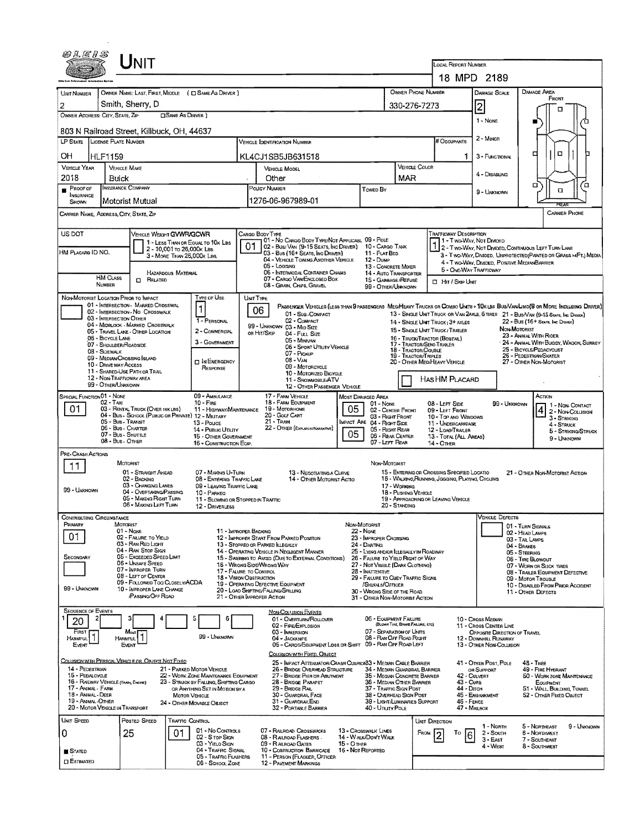|                                                                                                                                                                                                                                      |                                                                                                 | INIT                                                                                                                                                                                                                                                |                                                         |                                                                                                                                                                           |                                      |                                                                                                                                                                                                                                                                  |                                                                                                                                                                                                                                                                                                                                  |             |                                                                                                                                                                                                                                                                                                                     |                                                       |                                                                          | <b>LOCAL REPORT NUMBER</b>                                                                                                                                                                                                                  |                                                                                                                                  |                                                                                         |                                                                                                                                             |                                                                                                         |
|--------------------------------------------------------------------------------------------------------------------------------------------------------------------------------------------------------------------------------------|-------------------------------------------------------------------------------------------------|-----------------------------------------------------------------------------------------------------------------------------------------------------------------------------------------------------------------------------------------------------|---------------------------------------------------------|---------------------------------------------------------------------------------------------------------------------------------------------------------------------------|--------------------------------------|------------------------------------------------------------------------------------------------------------------------------------------------------------------------------------------------------------------------------------------------------------------|----------------------------------------------------------------------------------------------------------------------------------------------------------------------------------------------------------------------------------------------------------------------------------------------------------------------------------|-------------|---------------------------------------------------------------------------------------------------------------------------------------------------------------------------------------------------------------------------------------------------------------------------------------------------------------------|-------------------------------------------------------|--------------------------------------------------------------------------|---------------------------------------------------------------------------------------------------------------------------------------------------------------------------------------------------------------------------------------------|----------------------------------------------------------------------------------------------------------------------------------|-----------------------------------------------------------------------------------------|---------------------------------------------------------------------------------------------------------------------------------------------|---------------------------------------------------------------------------------------------------------|
|                                                                                                                                                                                                                                      |                                                                                                 |                                                                                                                                                                                                                                                     |                                                         |                                                                                                                                                                           |                                      |                                                                                                                                                                                                                                                                  |                                                                                                                                                                                                                                                                                                                                  |             |                                                                                                                                                                                                                                                                                                                     |                                                       |                                                                          |                                                                                                                                                                                                                                             | 18 MPD 2189                                                                                                                      |                                                                                         |                                                                                                                                             |                                                                                                         |
| UNIT NUMBER                                                                                                                                                                                                                          |                                                                                                 | Smith, Sherry, D                                                                                                                                                                                                                                    |                                                         | OWNER NAME: LAST, FIRST, MIDDLE ( C SAME AS DRIVER )                                                                                                                      |                                      |                                                                                                                                                                                                                                                                  |                                                                                                                                                                                                                                                                                                                                  |             |                                                                                                                                                                                                                                                                                                                     |                                                       | OWNER PHONE NUMBER                                                       |                                                                                                                                                                                                                                             | DAMAGE SCALE                                                                                                                     |                                                                                         | DAMAGE AREA<br>FRONT                                                                                                                        |                                                                                                         |
| 2<br>OWNER ADDRESS: CITY, STATE, ZIP                                                                                                                                                                                                 |                                                                                                 |                                                                                                                                                                                                                                                     | <b>CISAME AS DRIVER</b> )                               |                                                                                                                                                                           |                                      |                                                                                                                                                                                                                                                                  |                                                                                                                                                                                                                                                                                                                                  |             |                                                                                                                                                                                                                                                                                                                     |                                                       | 330-276-7273                                                             |                                                                                                                                                                                                                                             | $\overline{2}$<br>1 - Nove                                                                                                       |                                                                                         |                                                                                                                                             | α                                                                                                       |
| 803 N Railroad Street, Killbuck, OH, 44637                                                                                                                                                                                           |                                                                                                 |                                                                                                                                                                                                                                                     |                                                         |                                                                                                                                                                           |                                      |                                                                                                                                                                                                                                                                  |                                                                                                                                                                                                                                                                                                                                  |             |                                                                                                                                                                                                                                                                                                                     |                                                       |                                                                          |                                                                                                                                                                                                                                             | $2 -$ Minor                                                                                                                      |                                                                                         |                                                                                                                                             |                                                                                                         |
| LP STATE<br><b>LICENSE PLATE NUMBER</b>                                                                                                                                                                                              |                                                                                                 |                                                                                                                                                                                                                                                     |                                                         |                                                                                                                                                                           | <b>VEHICLE IDENTIFICATION NUMBER</b> |                                                                                                                                                                                                                                                                  |                                                                                                                                                                                                                                                                                                                                  |             |                                                                                                                                                                                                                                                                                                                     |                                                       | # Occupants<br>α                                                         |                                                                                                                                                                                                                                             |                                                                                                                                  |                                                                                         |                                                                                                                                             |                                                                                                         |
| OН<br><b>HLF1159</b><br><b>VEHICLE YEAR</b>                                                                                                                                                                                          | <b>VEHICLE MAKE</b>                                                                             |                                                                                                                                                                                                                                                     |                                                         |                                                                                                                                                                           | KL4CJ1SB5JB631518                    |                                                                                                                                                                                                                                                                  |                                                                                                                                                                                                                                                                                                                                  |             |                                                                                                                                                                                                                                                                                                                     |                                                       | VEHICLE COLOR                                                            |                                                                                                                                                                                                                                             | 3 - FUNCTIONAL                                                                                                                   |                                                                                         | ₫                                                                                                                                           |                                                                                                         |
| 2018                                                                                                                                                                                                                                 | Buick                                                                                           |                                                                                                                                                                                                                                                     |                                                         |                                                                                                                                                                           | VEHICLE MODEL<br>Other               |                                                                                                                                                                                                                                                                  |                                                                                                                                                                                                                                                                                                                                  |             |                                                                                                                                                                                                                                                                                                                     | MAR                                                   |                                                                          |                                                                                                                                                                                                                                             | 4 - Disabung                                                                                                                     |                                                                                         |                                                                                                                                             |                                                                                                         |
| $P$ ROOF OF<br>INSURANCE                                                                                                                                                                                                             | <b>INSURANCE COMPANY</b>                                                                        | Motorist Mutual                                                                                                                                                                                                                                     |                                                         |                                                                                                                                                                           |                                      | POLICY NUMBER<br>1276-06-967989-01                                                                                                                                                                                                                               |                                                                                                                                                                                                                                                                                                                                  |             | Towed By                                                                                                                                                                                                                                                                                                            | 9 - UNKNOWN                                           |                                                                          |                                                                                                                                                                                                                                             |                                                                                                                                  |                                                                                         | σ                                                                                                                                           | ά<br>O                                                                                                  |
| SHOWN<br>CARRIER NAME, ADDRESS, CITY, STATE, ZIP                                                                                                                                                                                     |                                                                                                 |                                                                                                                                                                                                                                                     |                                                         |                                                                                                                                                                           |                                      |                                                                                                                                                                                                                                                                  |                                                                                                                                                                                                                                                                                                                                  |             |                                                                                                                                                                                                                                                                                                                     |                                                       |                                                                          |                                                                                                                                                                                                                                             |                                                                                                                                  |                                                                                         |                                                                                                                                             | REAR<br><b>CARRIER PHONE</b>                                                                            |
|                                                                                                                                                                                                                                      |                                                                                                 |                                                                                                                                                                                                                                                     |                                                         |                                                                                                                                                                           |                                      |                                                                                                                                                                                                                                                                  |                                                                                                                                                                                                                                                                                                                                  |             |                                                                                                                                                                                                                                                                                                                     |                                                       |                                                                          | TRAFFICWAY DESCRIPTION                                                                                                                                                                                                                      |                                                                                                                                  |                                                                                         |                                                                                                                                             |                                                                                                         |
| US DOT                                                                                                                                                                                                                               |                                                                                                 | VEHICLE WEIGHT GWWR/GCWR                                                                                                                                                                                                                            |                                                         | 1 - LESS THAN OR EQUAL TO 10K LBS                                                                                                                                         | 01                                   | CARGO BODY TYPE                                                                                                                                                                                                                                                  | 01 - No Cargo Body Type/Not Applicabl 09 - Pole<br>02 - Busi Van (9-15 Seats, Inc Driver)                                                                                                                                                                                                                                        |             | 10 - CARGO TANK                                                                                                                                                                                                                                                                                                     |                                                       |                                                                          |                                                                                                                                                                                                                                             | 11 - Two-Way, Not Dimded<br>2 - T WO-WAY, NOT DIVIDED, CONTINUOUS LEFT TURN LANE                                                 |                                                                                         |                                                                                                                                             |                                                                                                         |
| HM PLACARD ID NO.                                                                                                                                                                                                                    |                                                                                                 |                                                                                                                                                                                                                                                     | 2 - 10,001 to 26,000k Las<br>3 - MORE THAN 26,000K LBS. |                                                                                                                                                                           |                                      |                                                                                                                                                                                                                                                                  | 03 - Bus (16+ SEATS, INC DRIVER)<br>04 - VEHICLE TOWING ANOTHER VEHICLE                                                                                                                                                                                                                                                          |             | 11 - FLAT BED<br>$12 - D$ UMP                                                                                                                                                                                                                                                                                       |                                                       |                                                                          |                                                                                                                                                                                                                                             | 4 - Two-Way, DIVIDED, POSITIVE MEDIANBARRIER                                                                                     |                                                                                         |                                                                                                                                             | 3 - Two-Way, DMDED, UNPROTECTED (PAINTED OR GRASS >4FT.) MEDIA                                          |
| <b>HM CLASS</b>                                                                                                                                                                                                                      |                                                                                                 |                                                                                                                                                                                                                                                     | HAZARDOUS MATERIAL                                      |                                                                                                                                                                           |                                      | 05 - Logging                                                                                                                                                                                                                                                     | 06 - INTERMODAL CONTAINER CHASIS<br>07 - CARGO VAN ENGLOSED BOX                                                                                                                                                                                                                                                                  |             | 13 - CONCRETE MIXER<br>14 - AUTO TRANSPORTER                                                                                                                                                                                                                                                                        |                                                       |                                                                          |                                                                                                                                                                                                                                             | 5 - ONE-WAY TRAFFICWAY                                                                                                           |                                                                                         |                                                                                                                                             |                                                                                                         |
| NUMBER                                                                                                                                                                                                                               |                                                                                                 | $\Box$ Related                                                                                                                                                                                                                                      |                                                         |                                                                                                                                                                           |                                      | 08 - GRAIN, CHIPS, GRAVEL                                                                                                                                                                                                                                        |                                                                                                                                                                                                                                                                                                                                  |             | 15 - GARBAGE / REFUSE<br>99 - OTHER/UNKNOWN                                                                                                                                                                                                                                                                         |                                                       |                                                                          | <b>El Hirl Skip Unit</b>                                                                                                                                                                                                                    |                                                                                                                                  |                                                                                         |                                                                                                                                             |                                                                                                         |
| NON-MOTORIST LOCATION PRIOR TO IMPACT<br>03 - INTERSECTION OTHER<br>06 - BICYCLE LANE<br>07 - SHOULDER/ROADSIDE<br>08 - SIDEWALK<br>10 - DRIVE WAY ACCESS<br>12 - NON-TRAFFICWAY AREA                                                |                                                                                                 | 01 - INTERSECTION - MARKED CROSSWAL<br>02 - INTERSECTION - NO CROSSWALK<br>04 - MIDBLOCK - MARKED CROSSWALK<br>05 - Travel Lane - Other Location<br>09 - MEDIAN/CROSSING ISLAND<br>11 - SHARED-USE PATH OR TRAIL                                    |                                                         | TYPE OF USE<br>1<br>1 - PERSONAL<br>2 - COMMERCIAL<br>3 - GOVERNMENT<br>IN EMERGENCY<br>RESPONSE                                                                          |                                      | UNIT TYPE<br>06<br>99 - UNKNOWN 03 - Mid Size<br>OR HIT/SKIP                                                                                                                                                                                                     | PASSENGER VEHICLES (LESS THAN SPASSENGERS MED/HEAVY TRUCKS OR COMBO UNTS > 10K LBS BUS/VAN/LIMO(S OR MORE INCLUDING DRIVER)<br>01 - Sub-COMPACT<br>02 - COMPACT<br>04 - Full Size<br>05 - Minivan<br>06 - SPORT UTILITY VEHICLE<br>07 - Pickup<br>$08 - VAN$<br>09 - MOTORCYCLE<br>10 - MOTORIZED BICYCLE<br>11 - SNOWMOBILE/ATV |             |                                                                                                                                                                                                                                                                                                                     |                                                       | 17 - TRACTOR/SEMI-TRAILER<br>18 - TRACTOR/DOUBLE<br>19 - TRACTOR/TRIPLES | 13 - SINGLE UNIT TRUCK OR VAN ZAXLE, 6 TIRES 21 - BUS/VAN (9-15 SEATE, INC DRIVEK)<br>14 - SINGLE UNIT TRUCK: 3+ AXLES<br>15 - SINGLE UNIT TRUCK / TRAILER<br>16 - TRUCK/TRACTOR (BOSTAIL)<br>20 - OTHER MEDIHEAVY VEHICLE<br>HASHM PLACARD |                                                                                                                                  | NON-MOTORIST                                                                            | 22 - Bus (16+ Sexts, Inc Draver)<br>23 - ANIMAL WITH RIDER<br>25 - BICYCLE/PEDACYCLIST<br>26 - PEDESTRIAN SKATER<br>27 - OTHER NON-MOTORIST | - 24 - ANIMAL WITH BUGGY, WAGON, SURREY                                                                 |
| 99 - OTHER/UNKNOWN<br>SPECIAL FUNCTION 01 - NONE                                                                                                                                                                                     |                                                                                                 |                                                                                                                                                                                                                                                     |                                                         | 09 - AMBULANCE                                                                                                                                                            |                                      | 17 - FARM VEHICLE                                                                                                                                                                                                                                                | 12 - OTHER PASSENGER VEHICLE                                                                                                                                                                                                                                                                                                     |             | <b>MOST DAMAGED AREA</b>                                                                                                                                                                                                                                                                                            |                                                       |                                                                          |                                                                                                                                                                                                                                             |                                                                                                                                  |                                                                                         | Action                                                                                                                                      |                                                                                                         |
| 01                                                                                                                                                                                                                                   | 02 - TAXI<br>05 - Bus - Transit<br>06 - Bus - Charter<br>07 - Bus - SHUTTLE<br>08 - Bus - OTHER | 03 - RENTAL TRUCK (OVER 10KLBS)<br>04 - Bus - SCHOOL (PUBLIC OR PRIVATE) 12 - MILITARY                                                                                                                                                              |                                                         | $10 -$ Fire<br>11 - HIGHWAY/MAINTENANCE<br>13 - Pouce<br>14 - Pusuc Unury<br>15 - OTHER GOVERNMENT<br>16 - CONSTRUCTION EOIP.                                             |                                      | 18 - FARM EQUIPMENT<br>19 - Motorhome<br>20 - GOLF CART<br>$21 -$ TRAIN                                                                                                                                                                                          | 22 - OTHER (EXPLANIN NARRATIVE)                                                                                                                                                                                                                                                                                                  | 05<br>05    | $01 - None$<br>02 - CENTER FRONT<br>03 - Right Front<br>MPACT ARE 04 - RIGHT SIDE<br>05 - RIGHT REAR<br>06 - REAR CENTER<br>07 - LEFT REAR                                                                                                                                                                          |                                                       |                                                                          | 08 - LEFT SIDE<br>09 - LEFT FRONT<br>10 - Top ANO WINDOWS<br>11 - UNDERCARRIAGE<br>12 - LOAD/TRAILER<br>13 - TOTAL (ALL AREAS)<br>14 - OTHER                                                                                                |                                                                                                                                  | 99 - UNKNOWN                                                                            |                                                                                                                                             | 1 - Non-Contact<br>2 - Non-Counsion<br>3 - STRIKING<br>4 - STRUCK<br>5 - STRIKING/STRUCK<br>9 - UNKNOWN |
| PRE-CRASH ACTIONS<br>11                                                                                                                                                                                                              | MOTORIST                                                                                        |                                                                                                                                                                                                                                                     |                                                         |                                                                                                                                                                           |                                      |                                                                                                                                                                                                                                                                  |                                                                                                                                                                                                                                                                                                                                  |             | Non-Motorist                                                                                                                                                                                                                                                                                                        |                                                       |                                                                          |                                                                                                                                                                                                                                             |                                                                                                                                  |                                                                                         |                                                                                                                                             |                                                                                                         |
| 99 - UNKNOWN                                                                                                                                                                                                                         |                                                                                                 | 01 - Stranght Ahead<br>02 - BACKING<br>03 - CHANGING LANES<br>04 - Overtaking/Passing<br>05 - MAKING RIGHT TURN<br>06 - MAKING LEFT TURN                                                                                                            |                                                         | 07 - Making U-Turn<br>08 - ENTERING TRAFFIC LANE<br>09 - LEAVING TRAFFIC LANE<br>10 - PARKEO<br>11 - SLOWING OR STOPPED IN TRAFFIC<br>12 - DRIVERLESS                     |                                      |                                                                                                                                                                                                                                                                  | 13 - NEGOTIATING A CURVE<br>14 - OTHER MOTORIST ACTIO                                                                                                                                                                                                                                                                            |             |                                                                                                                                                                                                                                                                                                                     | 17 - Working<br>18 - Pushing Vehicle<br>20 - STANDING |                                                                          | 15 - ENTERING OR CROSSING SPECIFIED LOCATIO<br>16 - WALKING, RUNNING, JOGGING, PLAYING, CYCUNG<br>19 - APPROACHING OR LEAVING VEHICLE                                                                                                       |                                                                                                                                  |                                                                                         | 21 - OTHER NON-MOTORIST ACTION                                                                                                              |                                                                                                         |
| CONTRIBUTING CIRCUMSTANCE<br>PRIMARY                                                                                                                                                                                                 | Morgaist                                                                                        |                                                                                                                                                                                                                                                     |                                                         |                                                                                                                                                                           |                                      |                                                                                                                                                                                                                                                                  |                                                                                                                                                                                                                                                                                                                                  |             | NON-MOTORIST                                                                                                                                                                                                                                                                                                        |                                                       |                                                                          |                                                                                                                                                                                                                                             | <b>VEHICLE DEFECTS</b>                                                                                                           | 01 - TURN SIGNALS                                                                       |                                                                                                                                             |                                                                                                         |
| 01<br>SECONDARY<br>99 - UNKNOWN                                                                                                                                                                                                      | $01 - \text{Note}$                                                                              | 02 - FALURE TO YIELD<br>03 - RAN RED LIGHT<br>04 - RAN STOP SIGN<br>05 - Exceeded Speed LIMIT<br>06 - UNSAFE SPEED<br>07 - IMPROPER TURN<br>08 - LEFT OF CENTER<br>09 - FOLLOWED TOO CLOSELY/ACDA<br>10 - IMPROPER LANE CHANGE<br>/PASSING/OFF ROAD |                                                         | 11 - IMPROPER BACKING<br>17 - FALURE TO CONTROL<br>18 - Vision OBSTRUCTION                                                                                                |                                      | 12 - IMPROPER START FROM PARKED POSITION<br>13 - Stopped or Parked Llegally<br>14 - OPERATING VEHICLE IN NEGLIGENT MANNER<br>16 - Wrong Side/Wrong WAY<br>19 - OPERATING DEFECTIVE EQUIPMENT<br>20 - LOAD SHIFTING/FALUNG/SPILLING<br>21 - OTHER IMPROPER ACTION | 15 - SWERING TO AVOID (DUE TO EXTERNAL CONDITIONS)                                                                                                                                                                                                                                                                               |             | 22 - None<br>23 - IMPROPER CROSSING<br>24 - DARTING<br>25 - LYING ANDIOR LLEGALLY IN ROADWAY<br>26 - FALURE TO YIELD RIGHT OF WAY<br>27 - NOT VISIBLE (DARK CLOTHING)<br>28 - INATTENTIVE<br>29 - FALURE TO OBEY TRAFFIC SIGNS<br>/SIGNALS/OFFICER<br>30 - WRONG SIDE OF THE ROAD<br>31 - OTHER NON-MOTORIST ACTION |                                                       |                                                                          |                                                                                                                                                                                                                                             |                                                                                                                                  | 02 - HEAD LAMPS<br>03 - TAIL LAMPS<br>04 - BRAKES<br>05 - Steering<br>06 - TIRE BLOWOUT | 07 - WORN OR SLICK TIRES<br>08 - TRALER EQUIPMENT DEFECTIVE<br>09 - Motor Trouble<br>11 - OTHER DEFECTS                                     | 10 - DISABLED FROM PRIOR ACCIDENT                                                                       |
| <b>SEQUENCE OF EVENTS</b><br>20<br>FIRST<br>HARMFUL <sup>1</sup> ]<br>Event                                                                                                                                                          | Most<br>HARMFUL <sup>1</sup><br>EVENT                                                           |                                                                                                                                                                                                                                                     |                                                         | 99 - Unknown                                                                                                                                                              |                                      | <b>NON-COLLISION EVENTS</b><br>03 - IMMERSION<br>04 - JACKKNFE                                                                                                                                                                                                   | 01 - OVERTURN/ROLLOVER<br>02 - FIRE/EXPLOSION<br>05 - CARGO/EQUIPMENT LOSS OR SHIFT 09 - RAN OFF ROAD LEFT                                                                                                                                                                                                                       |             | 06 - EQUIPMENT FAILURE<br>07 - SEPARATION OF UNITS<br>08 - RAN OFF ROAD RIGHT                                                                                                                                                                                                                                       |                                                       | (BLOWN TIRE, BRAKE FAILURE, ETC)                                         |                                                                                                                                                                                                                                             | 10 - Cross Median<br>11 - Cross CENTER LINE<br>OPPOSITE DIRECTION OF TRAVEL<br>12 - DOWNHILL RUNAWAY<br>13 - OTHER NON-COLLISION |                                                                                         |                                                                                                                                             |                                                                                                         |
| COLLISION WITH PERSON, VEHICLE OR OBJECT NOT FIXED<br>14 - PEDESTRIAN<br>15 - PEDALCYCLE<br>16 - RALWAY VEHICLE (TRAIN, ENGINE)<br>17 - ANUMAL - FARM<br>18 - Animal - Deer<br>19 - ANIMAL -OTHER<br>20 - MOTOR VEHICLE IN TRANSPORT |                                                                                                 |                                                                                                                                                                                                                                                     | <b>MOTOR VEHICLE</b>                                    | 21 - PARKED MOTOR VEHICLE<br>22 - WORK ZONE MAINTENANCE EQUIPMENT<br>23 - STRUCK BY FALUNG, SHIFTING CARGO<br>OR ANYTHING SET IN MOTION BY A<br>24 - OTHER MOVABLE OBJECT |                                      | 29 - BRIDGE RAIL<br>31 - GUARDRAILEND                                                                                                                                                                                                                            | COLLISION WITH FIXED, OBJECT<br>25 - IMPACT ATTENUATOR/CRASH CUSHION33 - MEDIAN CABLE BARRIER<br>26 - BRIDGE OVERHEAD STRUCTURE<br>27 - BRIDGE PIER OR ABUTMENT<br>28 - BRIDGE PARAPET<br>30 - GUARDRAIL FACE<br>32 - PORTABLE BARRIER                                                                                           |             | 34 - MEDIAN GUARDRAIL BARRIER<br>35 - Megian Concrete Barrier<br>36 - MEDIAN OTHER BARRIER<br>37 - TRAFFIC SIGN POST<br>38 - OVERHEAD SIGN POST<br>39 - LIGHT/LUMINARIES SUPPORT<br>40 - Unury Pole                                                                                                                 |                                                       |                                                                          | 43 - Cura<br>44 - Олсн                                                                                                                                                                                                                      | 41 - OTHER POST, POLE<br>OR SUPPORT<br>42 - CULVERT<br>45 - EMBANKMENT<br>46 - FENCE<br>47 - MAILBOX                             |                                                                                         | $48 - TREE$<br>49 - FIRE HYDRANT<br>EQUIPMENT<br>52 - OTHER FIXED OBJECT                                                                    | 50 - WORK ZONE MAINTENANCE<br>51 - WALL, BUILDING, TUNNEL                                               |
| UNIT SPEED<br>O<br><b>STATED</b><br>$\square$ Estimated                                                                                                                                                                              | 25                                                                                              | Posted Speed                                                                                                                                                                                                                                        | Traffic Control<br>01                                   | 01 - No Controls<br>02 - S TOP SIGN<br>03 - YIELD SIGN<br>04 - TRAFFIC SIGNAL<br>05 - TRAFFIC FLASHERS<br>06 - SCHOOL ZONE                                                |                                      | 07 - RAILROAD CROSSBUCKS<br>08 - RAILROAD FLASHERS<br>09 - R ALROAD GATES<br><b>12 - PAVEMENT MARKINGS</b>                                                                                                                                                       | 10 - Costruction Barricade<br>11 - PERSON (FLAGGER, OFFICER                                                                                                                                                                                                                                                                      | 15 - O THER | 13 - Crosswalk LINES<br>14 - WALK/DON'T WALK<br>16 - Not Reported                                                                                                                                                                                                                                                   |                                                       | <b>UNIT DIRECTION</b><br>FROM                                            | To<br>6                                                                                                                                                                                                                                     | 1 - Nonn<br>2 - South<br>$3 - E$ AST<br>$4 - West$                                                                               |                                                                                         | 5 - NORTHEAST<br>6 - NORTHWEST<br>7 - SOUTHEAST<br>8 - Southwest                                                                            | 9 - Unknown                                                                                             |